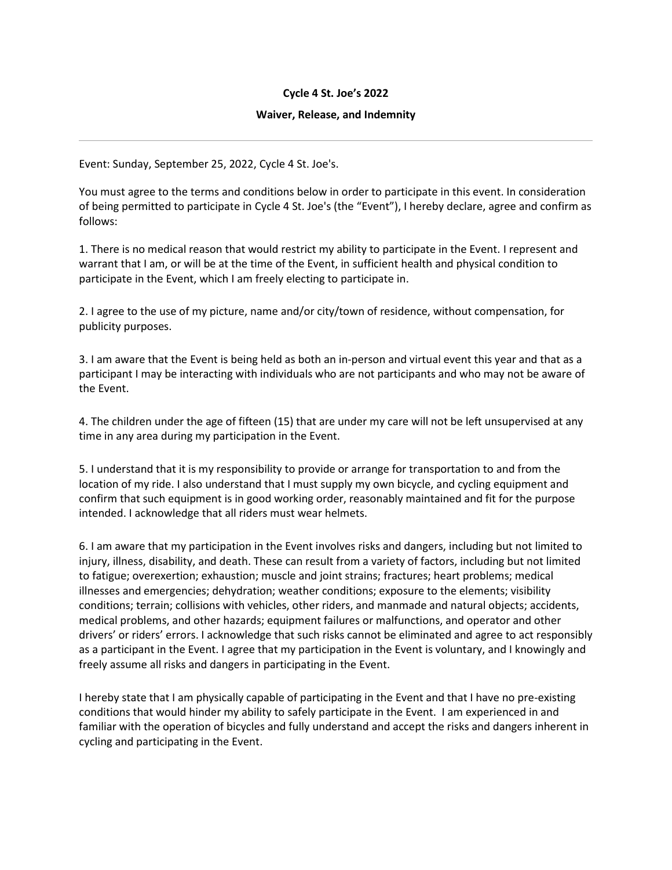## **Cycle 4 St. Joe's 2022**

## **Waiver, Release, and Indemnity**

Event: Sunday, September 25, 2022, Cycle 4 St. Joe's.

You must agree to the terms and conditions below in order to participate in this event. In consideration of being permitted to participate in Cycle 4 St. Joe's (the "Event"), I hereby declare, agree and confirm as follows:

1. There is no medical reason that would restrict my ability to participate in the Event. I represent and warrant that I am, or will be at the time of the Event, in sufficient health and physical condition to participate in the Event, which I am freely electing to participate in.

2. I agree to the use of my picture, name and/or city/town of residence, without compensation, for publicity purposes.

3. I am aware that the Event is being held as both an in-person and virtual event this year and that as a participant I may be interacting with individuals who are not participants and who may not be aware of the Event.

4. The children under the age of fifteen (15) that are under my care will not be left unsupervised at any time in any area during my participation in the Event.

5. I understand that it is my responsibility to provide or arrange for transportation to and from the location of my ride. I also understand that I must supply my own bicycle, and cycling equipment and confirm that such equipment is in good working order, reasonably maintained and fit for the purpose intended. I acknowledge that all riders must wear helmets.

6. I am aware that my participation in the Event involves risks and dangers, including but not limited to injury, illness, disability, and death. These can result from a variety of factors, including but not limited to fatigue; overexertion; exhaustion; muscle and joint strains; fractures; heart problems; medical illnesses and emergencies; dehydration; weather conditions; exposure to the elements; visibility conditions; terrain; collisions with vehicles, other riders, and manmade and natural objects; accidents, medical problems, and other hazards; equipment failures or malfunctions, and operator and other drivers' or riders' errors. I acknowledge that such risks cannot be eliminated and agree to act responsibly as a participant in the Event. I agree that my participation in the Event is voluntary, and I knowingly and freely assume all risks and dangers in participating in the Event.

I hereby state that I am physically capable of participating in the Event and that I have no pre-existing conditions that would hinder my ability to safely participate in the Event. I am experienced in and familiar with the operation of bicycles and fully understand and accept the risks and dangers inherent in cycling and participating in the Event.